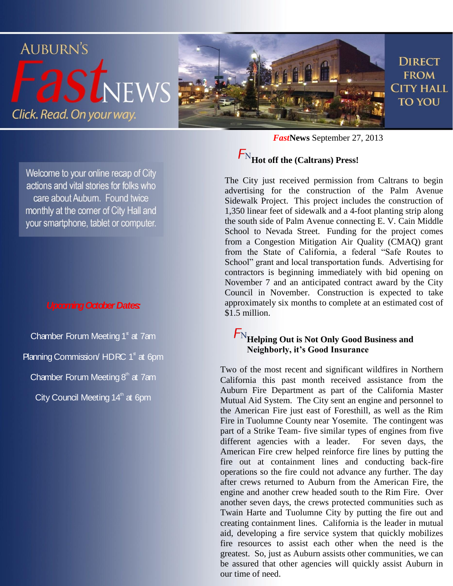

Welcome to your online recap of City actions and vital stories for folks who care about Auburn. Found twice monthly at the corner of City Hall and your smartphone, tablet or computer.

#### *Upcoming October Dates:*

Chamber Forum Meeting  $1<sup>s</sup>$  at 7am Planning Commission/ HDRC  $1^{\text{st}}$  at 6pm Chamber Forum Meeting  $8<sup>th</sup>$  at 7am City Council Meeting 14<sup>th</sup> at 6pm

*Fast***News** September 27, 2013

# **Hot off the (Caltrans) Press!**

The City just received permission from Caltrans to begin advertising for the construction of the Palm Avenue Sidewalk Project. This project includes the construction of 1,350 linear feet of sidewalk and a 4-foot planting strip along the south side of Palm Avenue connecting E. V. Cain Middle School to Nevada Street. Funding for the project comes from a Congestion Mitigation Air Quality (CMAQ) grant from the State of California, a federal "Safe Routes to School" grant and local transportation funds. Advertising for contractors is beginning immediately with bid opening on November 7 and an anticipated contract award by the City Council in November. Construction is expected to take approximately six months to complete at an estimated cost of \$1.5 million.

#### **Helping Out is Not Only Good Business and Neighborly, it's Good Insurance**

Two of the most recent and significant wildfires in Northern California this past month received assistance from the Auburn Fire Department as part of the California Master Mutual Aid System. The City sent an engine and personnel to the American Fire just east of Foresthill, as well as the Rim Fire in Tuolumne County near Yosemite. The contingent was part of a Strike Team- five similar types of engines from five different agencies with a leader. For seven days, the American Fire crew helped reinforce fire lines by putting the fire out at containment lines and conducting back-fire operations so the fire could not advance any further. The day after crews returned to Auburn from the American Fire, the engine and another crew headed south to the Rim Fire. Over another seven days, the crews protected communities such as Twain Harte and Tuolumne City by putting the fire out and creating containment lines. California is the leader in mutual aid, developing a fire service system that quickly mobilizes fire resources to assist each other when the need is the greatest. So, just as Auburn assists other communities, we can be assured that other agencies will quickly assist Auburn in our time of need.